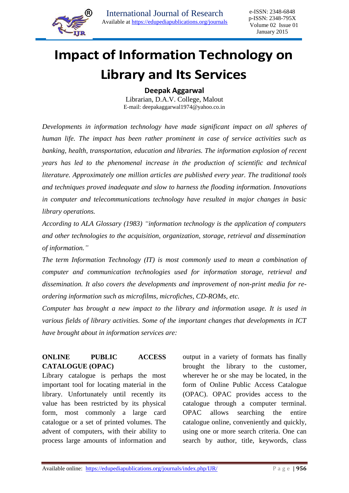

Ī

# **Impact of Information Technology on Library and Its Services**

**Deepak Aggarwal**

Librarian, D.A.V. College, Malout E-mail: deepakaggarwal1974@yahoo.co.in

*Developments in information technology have made significant impact on all spheres of human life. The impact has been rather prominent in case of service activities such as banking, health, transportation, education and libraries. The information explosion of recent years has led to the phenomenal increase in the production of scientific and technical literature. Approximately one million articles are published every year. The traditional tools and techniques proved inadequate and slow to harness the flooding information. Innovations in computer and telecommunications technology have resulted in major changes in basic library operations.*

*According to ALA Glossary (1983) "information technology is the application of computers and other technologies to the acquisition, organization, storage, retrieval and dissemination of information."*

*The term Information Technology (IT) is most commonly used to mean a combination of computer and communication technologies used for information storage, retrieval and dissemination. It also covers the developments and improvement of non-print media for reordering information such as microfilms, microfiches, CD-ROMs, etc.*

*Computer has brought a new impact to the library and information usage. It is used in various fields of library activities. Some of the important changes that developments in ICT have brought about in information services are:* 

# **ONLINE PUBLIC ACCESS CATALOGUE (OPAC)**

Library catalogue is perhaps the most important tool for locating material in the library. Unfortunately until recently its value has been restricted by its physical form, most commonly a large card catalogue or a set of printed volumes. The advent of computers, with their ability to process large amounts of information and output in a variety of formats has finally brought the library to the customer, wherever he or she may be located, in the form of Online Public Access Catalogue (OPAC). OPAC provides access to the catalogue through a computer terminal. OPAC allows searching the entire catalogue online, conveniently and quickly, using one or more search criteria. One can search by author, title, keywords, class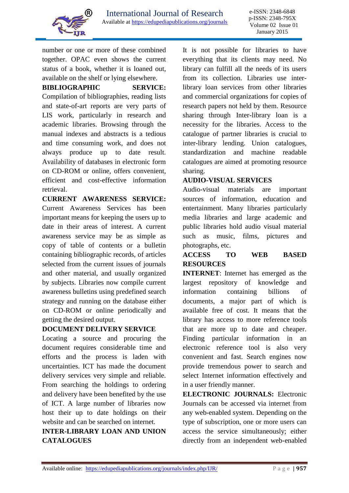

Ī

number or one or more of these combined together. OPAC even shows the current status of a book, whether it is loaned out, available on the shelf or lying elsewhere.

**BIBLIOGRAPHIC SERVICE:** 

Compilation of bibliographies, reading lists and state-of-art reports are very parts of LIS work, particularly in research and academic libraries. Browsing through the manual indexes and abstracts is a tedious and time consuming work, and does not always produce up to date result. Availability of databases in electronic form on CD-ROM or online, offers convenient, efficient and cost-effective information retrieval.

**CURRENT AWARENESS SERVICE:**  Current Awareness Services has been important means for keeping the users up to date in their areas of interest. A current awareness service may be as simple as copy of table of contents or a bulletin containing bibliographic records, of articles selected from the current issues of journals and other material, and usually organized by subjects. Libraries now compile current awareness bulletins using predefined search strategy and running on the database either on CD-ROM or online periodically and getting the desired output.

## **DOCUMENT DELIVERY SERVICE**

Locating a source and procuring the document requires considerable time and efforts and the process is laden with uncertainties. ICT has made the document delivery services very simple and reliable. From searching the holdings to ordering and delivery have been benefited by the use of ICT. A large number of libraries now host their up to date holdings on their website and can be searched on internet.

# **INTER-LIBRARY LOAN AND UNION CATALOGUES**

It is not possible for libraries to have everything that its clients may need. No library can fulfill all the needs of its users from its collection. Libraries use interlibrary loan services from other libraries and commercial organizations for copies of research papers not held by them. Resource sharing through Inter-library loan is a necessity for the libraries. Access to the catalogue of partner libraries is crucial to inter-library lending. Union catalogues, standardization and machine readable catalogues are aimed at promoting resource sharing.

## **AUDIO-VISUAL SERVICES**

Audio-visual materials are important sources of information, education and entertainment. Many libraries particularly media libraries and large academic and public libraries hold audio visual material such as music, films, pictures and photographs, etc.

## **ACCESS TO WEB BASED RESOURCES**

**INTERNET**: Internet has emerged as the largest repository of knowledge and information containing billions of documents, a major part of which is available free of cost. It means that the library has access to more reference tools that are more up to date and cheaper. Finding particular information in an electronic reference tool is also very convenient and fast. Search engines now provide tremendous power to search and select Internet information effectively and in a user friendly manner.

**ELECTRONIC JOURNALS:** Electronic Journals can be accessed via internet from any web-enabled system. Depending on the type of subscription, one or more users can access the service simultaneously; either directly from an independent web-enabled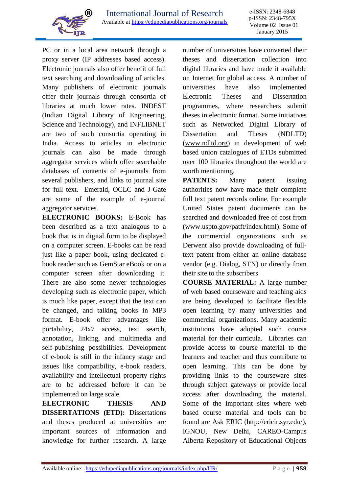

Ī PC or in a local area network through a proxy server (IP addresses based access). Electronic journals also offer benefit of full text searching and downloading of articles. Many publishers of electronic journals offer their journals through consortia of libraries at much lower rates. INDEST (Indian Digital Library of Engineering, Science and Technology)*,* and INFLIBNET are two of such consortia operating in India. Access to articles in electronic journals can also be made through aggregator services which offer searchable databases of contents of e-journals from several publishers, and links to journal site for full text. Emerald, OCLC and J-Gate are some of the example of e-journal aggregator services.

**ELECTRONIC BOOKS:** E-Book has been described as a text analogous to a book that is in digital form to be displayed on a computer screen. E-books can be read just like a paper book, using dedicated ebook reader such as GemStar eBook or on a computer screen after downloading it. There are also some newer technologies developing such as electronic paper, which is much like paper, except that the text can be changed, and talking books in MP3 format. E-book offer advantages like portability, 24x7 access, text search, annotation, linking, and multimedia and self-publishing possibilities. Development of e-book is still in the infancy stage and issues like compatibility, e-book readers, availability and intellectual property rights are to be addressed before it can be implemented on large scale.

**ELECTRONIC THESIS AND DISSERTATIONS (ETD):** Dissertations and theses produced at universities are important sources of information and knowledge for further research. A large number of universities have converted their theses and dissertation collection into digital libraries and have made it available on Internet for global access. A number of universities have also implemented Electronic Theses and Dissertation programmes, where researchers submit theses in electronic format. Some initiatives such as Networked Digital Library of Dissertation and Theses (NDLTD) [\(www.ndltd.org\)](http://www.ndltd.org/) in development of web based union catalogues of ETDs submitted over 100 libraries throughout the world are worth mentioning.

**PATENTS:** Many patent issuing authorities now have made their complete full text patent records online. For example United States patent documents can be searched and downloaded free of cost from [\(www.uspto.gov/patft/index.html\)](http://www.uspto.gov/patft/index.html). Some of the commercial organizations such as Derwent also provide downloading of fulltext patent from either an online database vendor (e.g. Dialog, STN) or directly from their site to the subscribers.

**COURSE MATERIAL:** A large number of web based courseware and teaching aids are being developed to facilitate flexible open learning by many universities and commercial organizations. Many academic institutions have adopted such course material for their curricula. Libraries can provide access to course material to the learners and teacher and thus contribute to open learning. This can be done by providing links to the courseware sites through subject gateways or provide local access after downloading the material. Some of the important sites where web based course material and tools can be found are Ask ERIC [\(http://ericir.syr.edu/\)](http://ericir.syr.edu/), IGNOU, New Delhi, CAREO-Campus Alberta Repository of Educational Objects